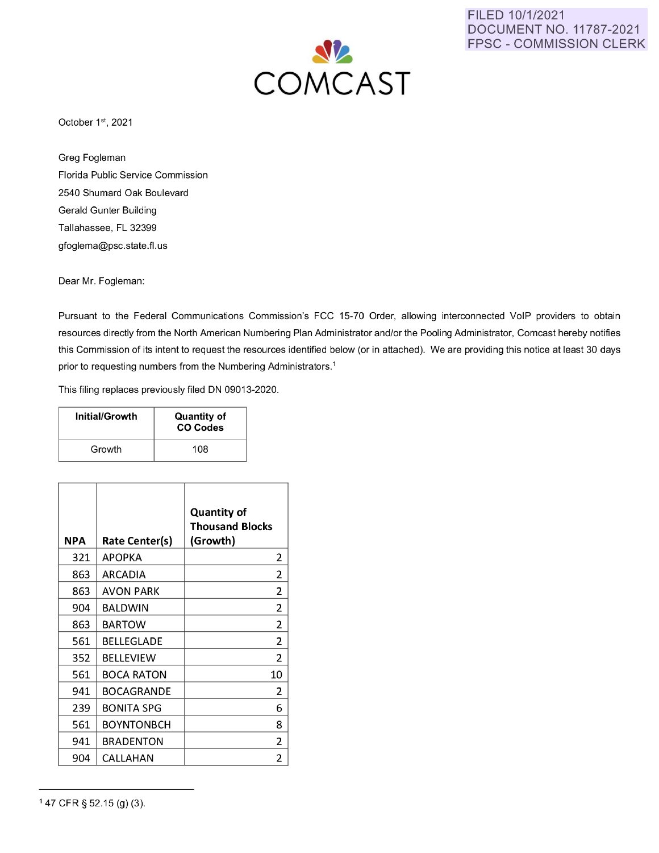

FILED 10/1/2021 DOCUMENT NO. 11787-2021 FPSC - COMMISSION CLERK

October 1st, 2021

Greg Fogleman Florida Public Service Commission 2540 Shumard Oak Boulevard Gerald Gunter Building Tallahassee, FL 32399 gfoglema@psc.state.fl.us

Dear Mr. Fogleman:

Pursuant to the Federal Communications Commission's FCC 15-70 Order, allowing interconnected VoIP providers to obtain resources directly from the North American Numbering Plan Administrator and/or the Pooling Administrator, Comcast hereby notifies this Commission of its intent to request the resources identified below (or in attached). We are providing this notice at least 30 days prior to requesting numbers from the Numbering Administrators.<sup>1</sup>

This filing replaces previously filed DN 09013-2020.

| Initial/Growth | <b>Quantity of</b><br><b>CO Codes</b> |
|----------------|---------------------------------------|
| Growth         | 108                                   |

| <b>NPA</b> | <b>Rate Center(s)</b> | <b>Quantity of</b><br><b>Thousand Blocks</b><br>(Growth) |
|------------|-----------------------|----------------------------------------------------------|
| 321        | <b>APOPKA</b>         | 2                                                        |
| 863        | ARCADIA               | 2                                                        |
| 863        | <b>AVON PARK</b>      | 2                                                        |
| 904        | <b>BALDWIN</b>        | 2                                                        |
| 863        | <b>BARTOW</b>         | 2                                                        |
| 561        | BELLEGLADE            | 2                                                        |
| 352        | <b>BELLEVIEW</b>      | 2                                                        |
| 561        | <b>BOCA RATON</b>     | 10                                                       |
| 941        | BOCAGRANDE            | 2                                                        |
| 239        | <b>BONITA SPG</b>     | 6                                                        |
| 561        | <b>BOYNTONBCH</b>     | 8                                                        |
| 941        | <b>BRADENTON</b>      | 2                                                        |
| 904        | CALLAHAN              | 2                                                        |

<sup>1</sup> 47 CFR § 52.15 (g) (3).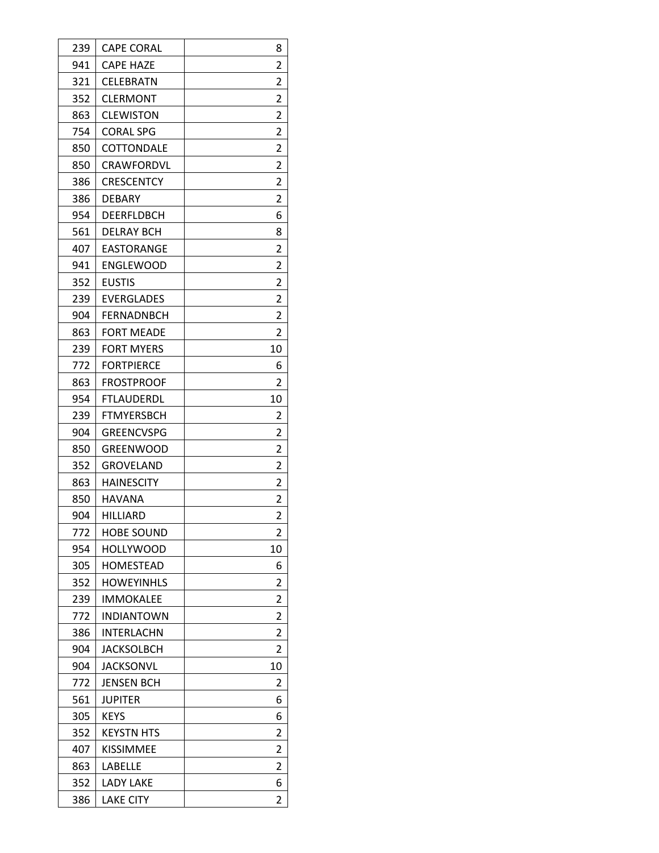| 239 | <b>CAPE CORAL</b> | 8              |
|-----|-------------------|----------------|
| 941 | <b>CAPE HAZE</b>  | 2              |
| 321 | CELEBRATN         | 2              |
| 352 | <b>CLERMONT</b>   | 2              |
| 863 | <b>CLEWISTON</b>  | 2              |
| 754 | <b>CORAL SPG</b>  | 2              |
| 850 | COTTONDALE        | 2              |
| 850 | CRAWFORDVL        | 2              |
| 386 | CRESCENTCY        | 2              |
| 386 | <b>DEBARY</b>     | $\overline{2}$ |
| 954 | DEERFLDBCH        | 6              |
| 561 | DELRAY BCH        | 8              |
| 407 | <b>EASTORANGE</b> | 2              |
| 941 | <b>ENGLEWOOD</b>  | 2              |
| 352 | <b>EUSTIS</b>     | 2              |
| 239 | <b>EVERGLADES</b> | 2              |
| 904 | <b>FERNADNBCH</b> | 2              |
| 863 | <b>FORT MEADE</b> | 2              |
| 239 | <b>FORT MYERS</b> | 10             |
| 772 | <b>FORTPIERCE</b> | 6              |
| 863 | <b>FROSTPROOF</b> | 2              |
| 954 | <b>FTLAUDERDL</b> | 10             |
| 239 | FTMYERSBCH        | 2              |
| 904 | <b>GREENCVSPG</b> | 2              |
| 850 | <b>GREENWOOD</b>  | 2              |
| 352 | GROVELAND         | 2              |
| 863 | <b>HAINESCITY</b> | 2              |
| 850 | HAVANA            | 2              |
| 904 | HILLIARD          | 2              |
| 772 | <b>HOBE SOUND</b> | 2              |
| 954 | <b>HOLLYWOOD</b>  | 10             |
| 305 | HOMESTEAD         | 6              |
| 352 | <b>HOWEYINHLS</b> | 2              |
| 239 | IMMOKALEE         | 2              |
| 772 | <b>INDIANTOWN</b> | 2              |
| 386 | INTERLACHN        | 2              |
| 904 | <b>JACKSOLBCH</b> | 2              |
| 904 | JACKSONVL         | 10             |
| 772 | JENSEN BCH        | 2              |
| 561 | <b>JUPITER</b>    | 6              |
| 305 | <b>KEYS</b>       | 6              |
| 352 | <b>KEYSTN HTS</b> | 2              |
| 407 | <b>KISSIMMEE</b>  | 2              |
| 863 | LABELLE           | 2              |
| 352 | LADY LAKE         | 6              |
| 386 | <b>LAKE CITY</b>  | 2              |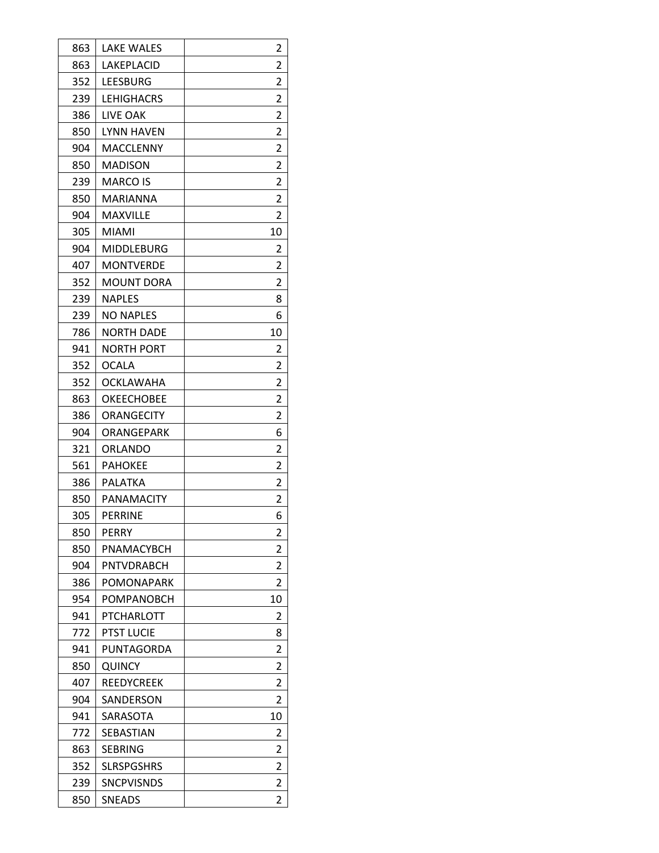| 863 | <b>LAKE WALES</b> | 2              |
|-----|-------------------|----------------|
| 863 | LAKEPLACID        | 2              |
| 352 | LEESBURG          | 2              |
| 239 | <b>LEHIGHACRS</b> | 2              |
| 386 | <b>LIVE OAK</b>   | 2              |
| 850 | LYNN HAVEN        | 2              |
| 904 | MACCLENNY         | 2              |
| 850 | <b>MADISON</b>    | 2              |
| 239 | MARCO IS          | 2              |
| 850 | MARIANNA          | $\overline{2}$ |
| 904 | <b>MAXVILLE</b>   | 2              |
| 305 | <b>MIAMI</b>      | 10             |
| 904 | <b>MIDDLEBURG</b> | 2              |
| 407 | <b>MONTVERDE</b>  | 2              |
| 352 | <b>MOUNT DORA</b> | 2              |
| 239 | <b>NAPLES</b>     | 8              |
| 239 | <b>NO NAPLES</b>  | 6              |
| 786 | <b>NORTH DADE</b> | 10             |
| 941 | <b>NORTH PORT</b> | 2              |
| 352 | <b>OCALA</b>      | 2              |
| 352 | OCKLAWAHA         | 2              |
| 863 | <b>OKEECHOBEE</b> | 2              |
| 386 | ORANGECITY        | 2              |
| 904 | ORANGEPARK        | 6              |
| 321 | ORLANDO           | 2              |
| 561 | <b>PAHOKEE</b>    | 2              |
| 386 | PALATKA           | 2              |
| 850 | PANAMACITY        | 2              |
| 305 | PERRINE           | 6              |
| 850 | PERRY             | 2              |
| 850 | PNAMACYBCH        | 2              |
| 904 | PNTVDRABCH        | 2              |
| 386 | POMONAPARK        | 2              |
| 954 | POMPANOBCH        | 10             |
| 941 | PTCHARLOTT        | 2              |
| 772 | PTST LUCIE        | 8              |
| 941 | PUNTAGORDA        | 2              |
| 850 | QUINCY            | 2              |
| 407 | REEDYCREEK        | 2              |
| 904 | SANDERSON         | 2              |
| 941 | SARASOTA          | 10             |
| 772 | SEBASTIAN         | 2              |
| 863 | SEBRING           | 2              |
| 352 | <b>SLRSPGSHRS</b> | 2              |
| 239 | <b>SNCPVISNDS</b> | 2              |
| 850 | <b>SNEADS</b>     | 2              |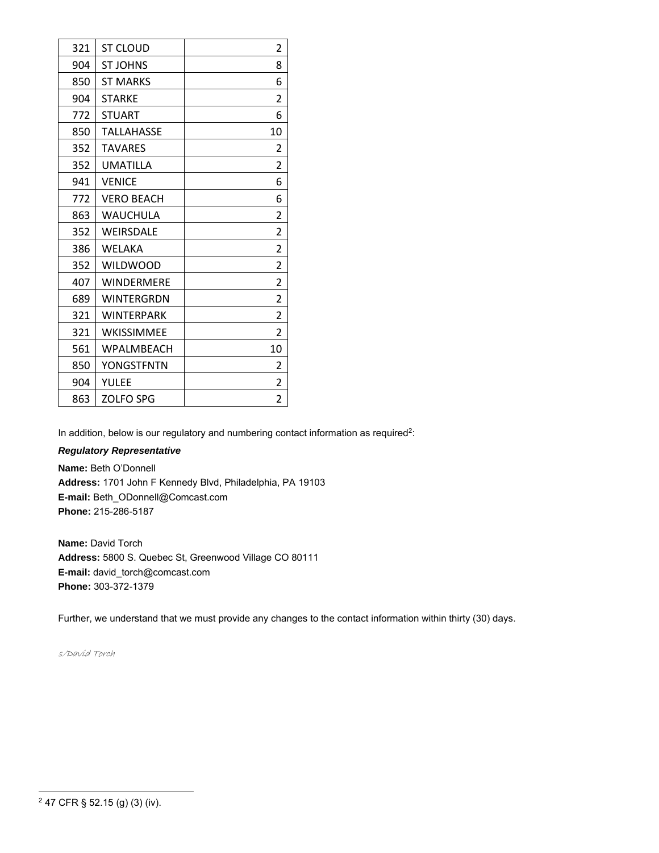| 321 | ST CLOUD          | 2              |
|-----|-------------------|----------------|
| 904 | <b>ST JOHNS</b>   | 8              |
| 850 | <b>ST MARKS</b>   | 6              |
| 904 | <b>STARKE</b>     | 2              |
| 772 | <b>STUART</b>     | 6              |
| 850 | <b>TALLAHASSE</b> | 10             |
| 352 | <b>TAVARES</b>    | 2              |
| 352 | <b>UMATILLA</b>   | 2              |
| 941 | <b>VENICE</b>     | 6              |
| 772 | <b>VERO BEACH</b> | 6              |
| 863 | WAUCHULA          | 2              |
| 352 | <b>WEIRSDALE</b>  | $\overline{2}$ |
| 386 | WELAKA            | 2              |
| 352 | <b>WILDWOOD</b>   | 2              |
| 407 | <b>WINDERMERE</b> | 2              |
| 689 | <b>WINTERGRDN</b> | 2              |
| 321 | <b>WINTERPARK</b> | 2              |
| 321 | <b>WKISSIMMEE</b> | $\overline{2}$ |
| 561 | <b>WPALMBEACH</b> | 10             |
| 850 | YONGSTFNTN        | 2              |
| 904 | YULEE             | 2              |
| 863 | <b>ZOLFO SPG</b>  | 2              |

In addition, below is our regulatory and numbering contact information as required<sup>2</sup>:

### *Regulatory Representative*

**Name:** Beth O'Donnell **Address:** 1701 John F Kennedy Blvd, Philadelphia, PA 19103 **E-mail:** Beth\_ODonnell@Comcast.com **Phone:** 215-286-5187

**Name:** David Torch **Address:** 5800 S. Quebec St, Greenwood Village CO 80111 **E-mail:** david\_torch@comcast.com **Phone:** 303-372-1379

Further, we understand that we must provide any changes to the contact information within thirty (30) days.

s/David Torch

47 CFR § 52.15 (g) (3) (iv).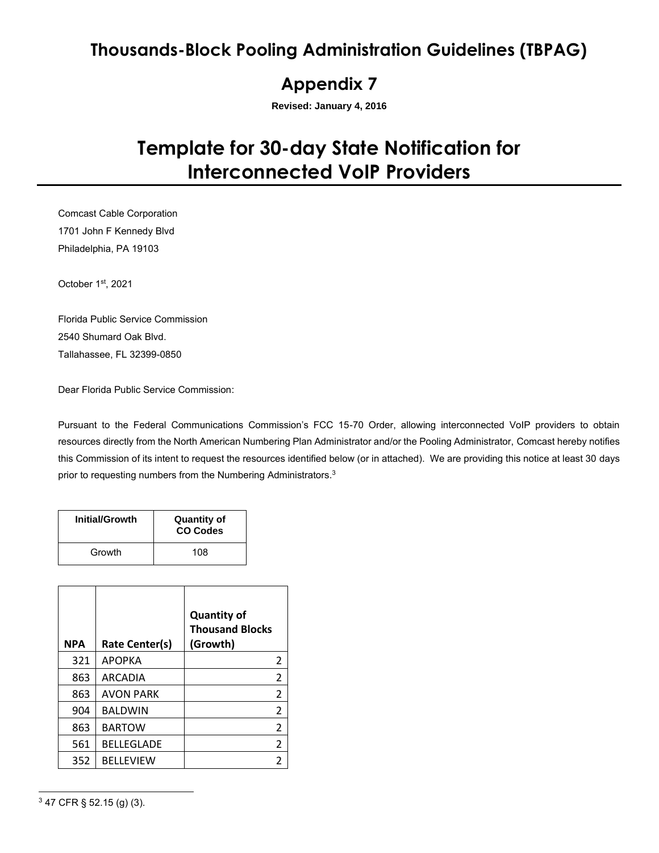## **Thousands-Block Pooling Administration Guidelines (TBPAG)**

### **Appendix 7**

**Revised: January 4, 2016**

# **Template for 30-day State Notification for Interconnected VoIP Providers**

Comcast Cable Corporation 1701 John F Kennedy Blvd Philadelphia, PA 19103

October 1st, 2021

Florida Public Service Commission 2540 Shumard Oak Blvd. Tallahassee, FL 32399-0850

Dear Florida Public Service Commission:

Pursuant to the Federal Communications Commission's FCC 15-70 Order, allowing interconnected VoIP providers to obtain resources directly from the North American Numbering Plan Administrator and/or the Pooling Administrator, Comcast hereby notifies this Commission of its intent to request the resources identified below (or in attached). We are providing this notice at least 30 days prior to requesting numbers from the Numbering Administrators.<sup>3</sup>

| <b>Initial/Growth</b> | <b>Quantity of</b><br><b>CO Codes</b> |
|-----------------------|---------------------------------------|
| Growth                | 108                                   |

| <b>NPA</b> | Rate Center(s)    | <b>Quantity of</b><br><b>Thousand Blocks</b><br>(Growth) |
|------------|-------------------|----------------------------------------------------------|
| 321        | <b>APOPKA</b>     | 2                                                        |
| 863        | ARCADIA           | 2                                                        |
| 863        | <b>AVON PARK</b>  | $\overline{2}$                                           |
| 904        | <b>BALDWIN</b>    | 2                                                        |
| 863        | <b>BARTOW</b>     | $\overline{2}$                                           |
| 561        | <b>BELLEGLADE</b> | $\overline{2}$                                           |
| 352        | <b>BELLEVIEW</b>  | 2                                                        |

<sup>3</sup> 47 CFR § 52.15 (g) (3).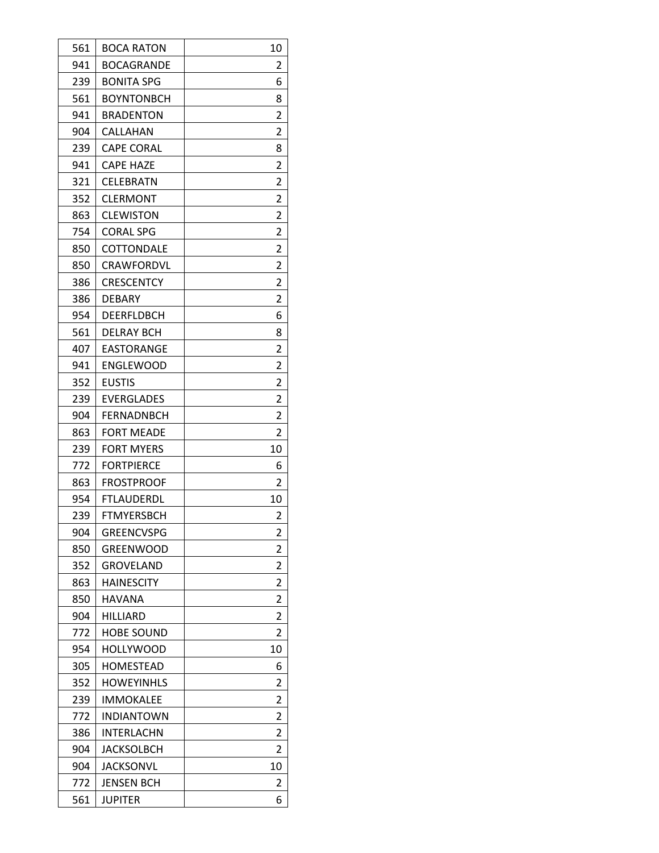| 561 | BOCA RATON        | 10             |
|-----|-------------------|----------------|
| 941 | <b>BOCAGRANDE</b> | 2              |
| 239 | <b>BONITA SPG</b> | 6              |
| 561 | <b>BOYNTONBCH</b> | 8              |
| 941 | <b>BRADENTON</b>  | 2              |
| 904 | CALLAHAN          | 2              |
| 239 | <b>CAPE CORAL</b> | 8              |
| 941 | <b>CAPE HAZE</b>  | 2              |
| 321 | CELEBRATN         | 2              |
| 352 | <b>CLERMONT</b>   | $\overline{2}$ |
| 863 | <b>CLEWISTON</b>  | 2              |
| 754 | <b>CORAL SPG</b>  | 2              |
| 850 | COTTONDALE        | 2              |
| 850 | CRAWFORDVL        | 2              |
| 386 | <b>CRESCENTCY</b> | 2              |
| 386 | <b>DEBARY</b>     | 2              |
| 954 | DEERFLDBCH        | 6              |
| 561 | DELRAY BCH        | 8              |
| 407 | EASTORANGE        | $\overline{2}$ |
| 941 | <b>ENGLEWOOD</b>  | 2              |
| 352 | <b>EUSTIS</b>     | 2              |
| 239 | EVERGLADES        | 2              |
| 904 | FERNADNBCH        | 2              |
| 863 | <b>FORT MEADE</b> | 2              |
| 239 | <b>FORT MYERS</b> | 10             |
| 772 | <b>FORTPIERCE</b> | 6              |
| 863 | <b>FROSTPROOF</b> | 2              |
| 954 | FTLAUDERDL        | 10             |
| 239 | <b>FTMYERSBCH</b> | 2              |
| 904 | GREENCVSPG        | 2              |
| 850 | GREENWOOD         | 2              |
| 352 | GROVELAND         | 2              |
| 863 | <b>HAINESCITY</b> | 2              |
| 850 | <b>HAVANA</b>     | 2              |
| 904 | <b>HILLIARD</b>   | 2              |
| 772 | <b>HOBE SOUND</b> | $\overline{2}$ |
| 954 | <b>HOLLYWOOD</b>  | 10             |
| 305 | HOMESTEAD         | 6              |
| 352 | <b>HOWEYINHLS</b> | 2              |
| 239 | IMMOKALEE         | 2              |
| 772 | <b>INDIANTOWN</b> | 2              |
| 386 | INTERLACHN        | 2              |
| 904 | JACKSOLBCH        | 2              |
| 904 | JACKSONVL         | 10             |
| 772 | JENSEN BCH        | 2              |
| 561 | JUPITER           | 6              |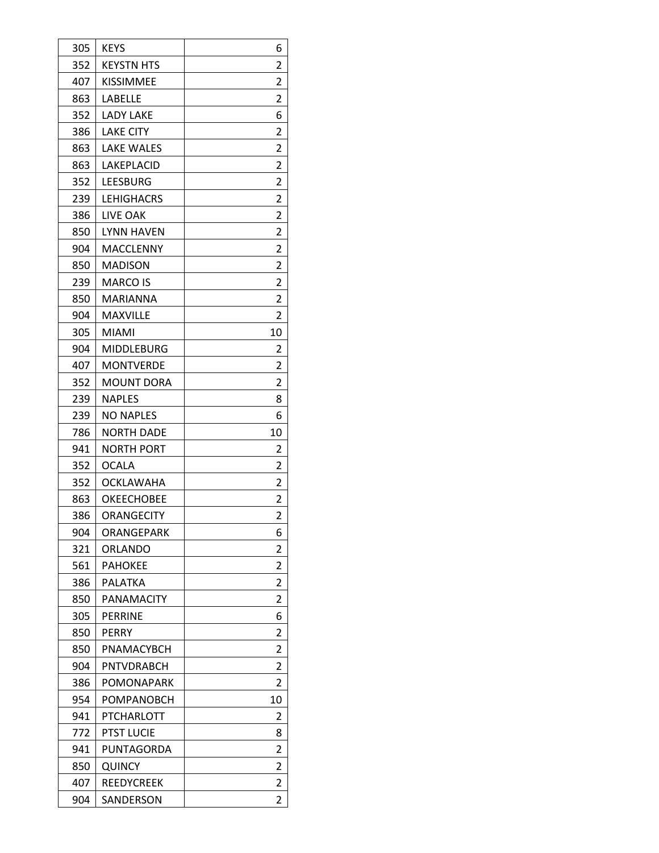| 305 | <b>KEYS</b>       | 6                       |
|-----|-------------------|-------------------------|
| 352 | <b>KEYSTN HTS</b> | 2                       |
| 407 | KISSIMMEE         | $\overline{\mathbf{c}}$ |
| 863 | LABELLE           | 2                       |
| 352 | LADY LAKE         | 6                       |
| 386 | <b>LAKE CITY</b>  | 2                       |
| 863 | <b>LAKE WALES</b> | 2                       |
| 863 | LAKEPLACID        | 2                       |
| 352 | LEESBURG          | 2                       |
| 239 | LEHIGHACRS        | $\overline{2}$          |
| 386 | LIVE OAK          | 2                       |
| 850 | <b>LYNN HAVEN</b> | 2                       |
| 904 | MACCLENNY         | 2                       |
| 850 | <b>MADISON</b>    | 2                       |
| 239 | <b>MARCO IS</b>   | 2                       |
| 850 | MARIANNA          | 2                       |
| 904 | <b>MAXVILLE</b>   | 2                       |
| 305 | MIAMI             | 10                      |
| 904 | MIDDLEBURG        | 2                       |
| 407 | <b>MONTVERDE</b>  | 2                       |
| 352 | <b>MOUNT DORA</b> | 2                       |
| 239 | <b>NAPLES</b>     | 8                       |
| 239 | <b>NO NAPLES</b>  | 6                       |
| 786 | NORTH DADE        | 10                      |
| 941 | <b>NORTH PORT</b> | 2                       |
| 352 | <b>OCALA</b>      | 2                       |
| 352 | <b>OCKLAWAHA</b>  | $\overline{2}$          |
| 863 | OKEECHOBEE        | 2                       |
| 386 | <b>ORANGECITY</b> | $\overline{2}$          |
| 904 | ORANGEPARK        | 6                       |
| 321 | ORLANDO           | 2                       |
| 561 | <b>PAHOKEE</b>    | 2                       |
| 386 | PALATKA           | 2                       |
| 850 | <b>PANAMACITY</b> | 2                       |
| 305 | <b>PERRINE</b>    | 6                       |
| 850 | PERRY             | 2                       |
| 850 | PNAMACYBCH        | 2                       |
| 904 | PNTVDRABCH        | 2                       |
| 386 | POMONAPARK        | 2                       |
| 954 | POMPANOBCH        | 10                      |
| 941 | PTCHARLOTT        | 2                       |
| 772 | <b>PTST LUCIE</b> | 8                       |
| 941 | PUNTAGORDA        | 2                       |
| 850 | <b>QUINCY</b>     | 2                       |
| 407 |                   |                         |
|     | REEDYCREEK        | 2                       |